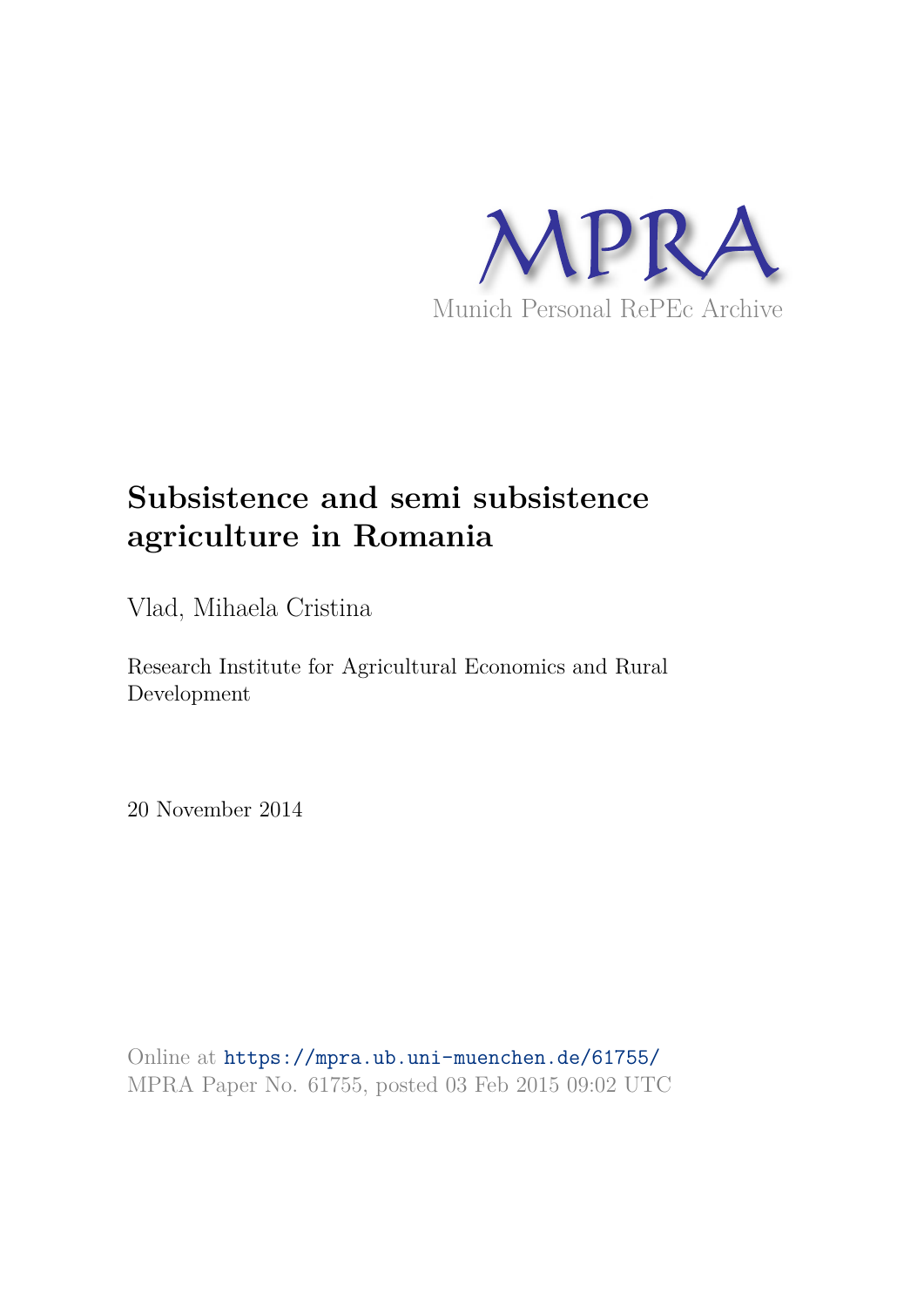

# **Subsistence and semi subsistence agriculture in Romania**

Vlad, Mihaela Cristina

Research Institute for Agricultural Economics and Rural Development

20 November 2014

Online at https://mpra.ub.uni-muenchen.de/61755/ MPRA Paper No. 61755, posted 03 Feb 2015 09:02 UTC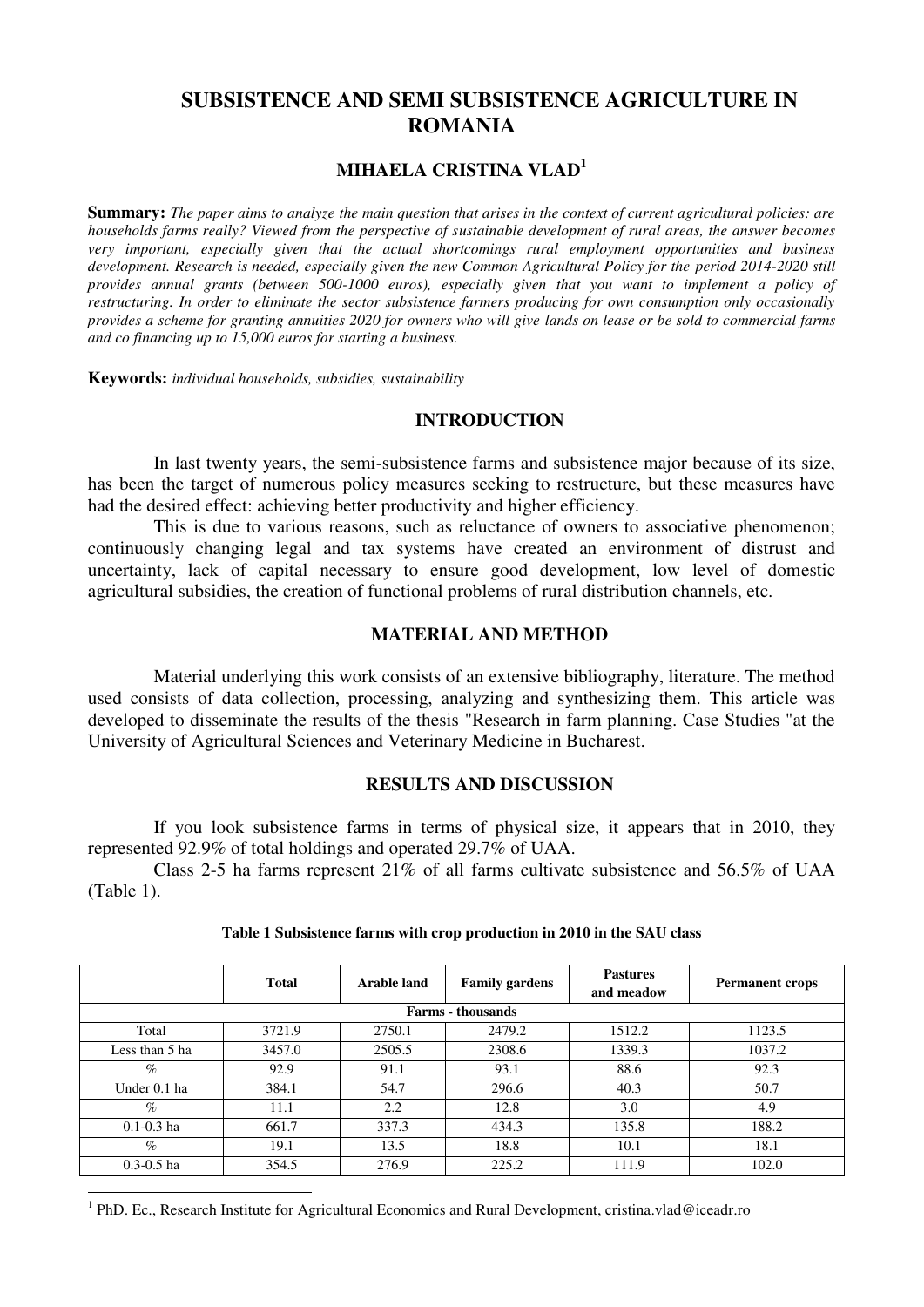# **SUBSISTENCE AND SEMI SUBSISTENCE AGRICULTURE IN ROMANIA**

## **MIHAELA CRISTINA VLAD<sup>1</sup>**

**Summary:** *The paper aims to analyze the main question that arises in the context of current agricultural policies: are households farms really? Viewed from the perspective of sustainable development of rural areas, the answer becomes very important, especially given that the actual shortcomings rural employment opportunities and business development. Research is needed, especially given the new Common Agricultural Policy for the period 2014-2020 still provides annual grants (between 500-1000 euros), especially given that you want to implement a policy of restructuring. In order to eliminate the sector subsistence farmers producing for own consumption only occasionally provides a scheme for granting annuities 2020 for owners who will give lands on lease or be sold to commercial farms and co financing up to 15,000 euros for starting a business.* 

**Keywords:** *individual households, subsidies, sustainability* 

## **INTRODUCTION**

In last twenty years, the semi-subsistence farms and subsistence major because of its size, has been the target of numerous policy measures seeking to restructure, but these measures have had the desired effect: achieving better productivity and higher efficiency.

This is due to various reasons, such as reluctance of owners to associative phenomenon; continuously changing legal and tax systems have created an environment of distrust and uncertainty, lack of capital necessary to ensure good development, low level of domestic agricultural subsidies, the creation of functional problems of rural distribution channels, etc.

#### **MATERIAL AND METHOD**

Material underlying this work consists of an extensive bibliography, literature. The method used consists of data collection, processing, analyzing and synthesizing them. This article was developed to disseminate the results of the thesis "Research in farm planning. Case Studies "at the University of Agricultural Sciences and Veterinary Medicine in Bucharest.

## **RESULTS AND DISCUSSION**

If you look subsistence farms in terms of physical size, it appears that in 2010, they represented 92.9% of total holdings and operated 29.7% of UAA.

Class 2-5 ha farms represent 21% of all farms cultivate subsistence and 56.5% of UAA (Table 1).

|                          | <b>Total</b> | Arable land | <b>Family gardens</b> | <b>Pastures</b><br>and meadow | <b>Permanent crops</b> |  |  |  |  |
|--------------------------|--------------|-------------|-----------------------|-------------------------------|------------------------|--|--|--|--|
| <b>Farms - thousands</b> |              |             |                       |                               |                        |  |  |  |  |
| Total                    | 3721.9       | 2750.1      | 2479.2                | 1512.2                        |                        |  |  |  |  |
| Less than 5 ha           | 3457.0       | 2505.5      | 2308.6                | 1339.3                        | 1037.2                 |  |  |  |  |
| $\%$                     | 92.9         | 91.1        | 93.1                  | 88.6                          | 92.3                   |  |  |  |  |
| Under 0.1 ha             | 384.1        | 54.7        | 296.6                 | 40.3                          | 50.7                   |  |  |  |  |
| $\%$                     | 11.1         | 2.2         | 12.8                  | 3.0                           | 4.9                    |  |  |  |  |
| $0.1 - 0.3$ ha           | 661.7        | 337.3       | 434.3                 | 135.8                         | 188.2                  |  |  |  |  |
| $\%$                     | 19.1         | 13.5        | 18.8                  | 10.1                          | 18.1                   |  |  |  |  |
| $0.3 - 0.5$ ha           | 354.5        | 276.9       | 225.2                 | 111.9                         | 102.0                  |  |  |  |  |

#### **Table 1 Subsistence farms with crop production in 2010 in the SAU class**

<sup>1</sup> PhD. Ec., Research Institute for Agricultural Economics and Rural Development, cristina.vlad@iceadr.ro

-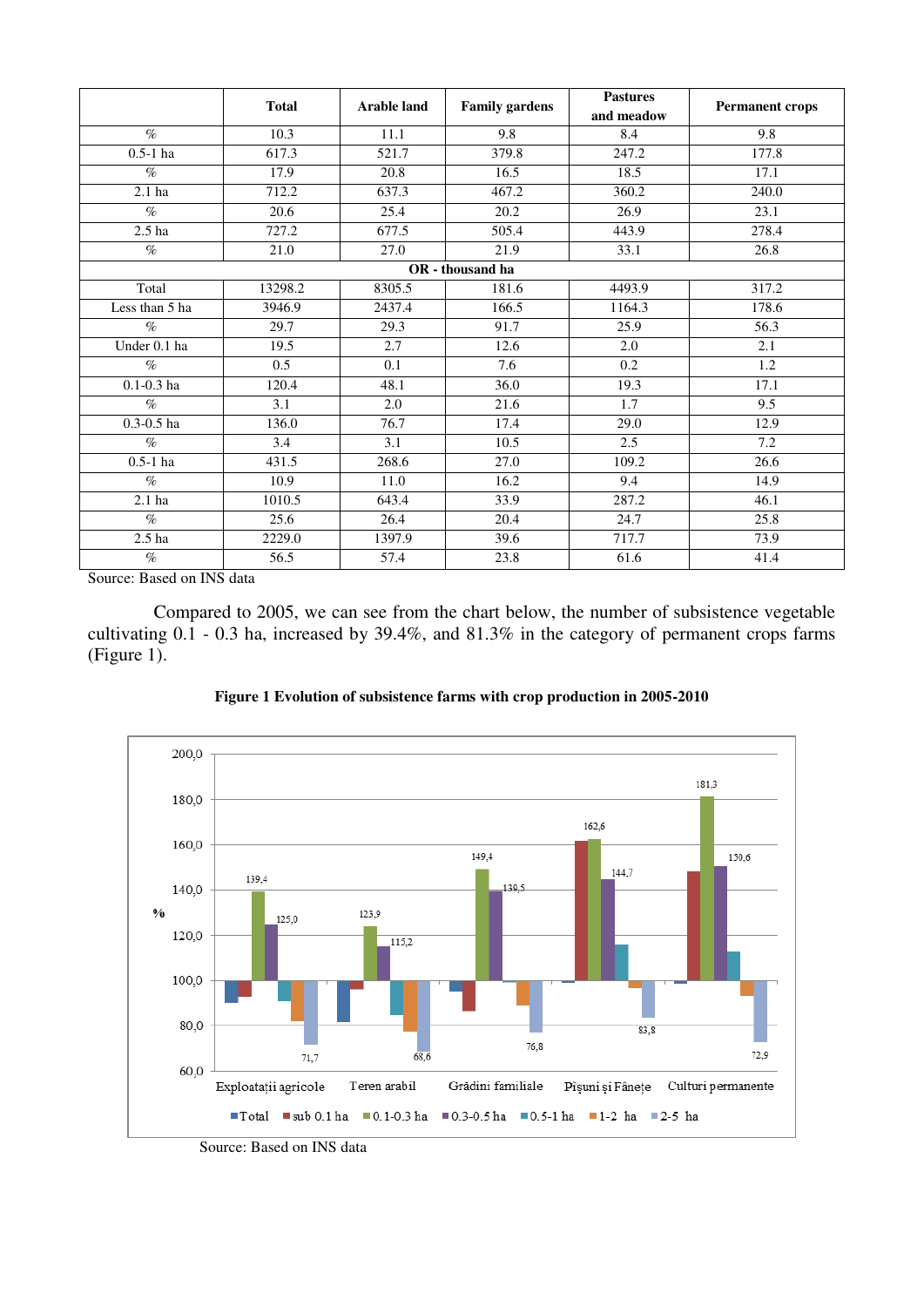|                   | <b>Total</b> | <b>Arable land</b> | <b>Pastures</b><br><b>Family gardens</b><br>and meadow |                  | <b>Permanent crops</b> |
|-------------------|--------------|--------------------|--------------------------------------------------------|------------------|------------------------|
| $\%$              | 10.3         | 11.1               | 9.8                                                    | 8.4              | 9.8                    |
| $0.5-1$ ha        | 617.3        | 521.7              | 379.8                                                  | 247.2            | 177.8                  |
| $\%$              | 17.9         | 20.8               | 16.5                                                   | 18.5             | 17.1                   |
| 2.1 <sub>ha</sub> | 712.2        | 637.3              | 467.2                                                  | 360.2            | 240.0                  |
| $\%$              | 20.6         | 25.4               | 20.2                                                   | 26.9             | 23.1                   |
| 2.5 <sub>ha</sub> | 727.2        | 677.5              | 505.4                                                  | 443.9            | 278.4                  |
| $\%$              | 21.0         | 27.0               | 21.9                                                   | 33.1             | 26.8                   |
|                   |              |                    | OR - thousand ha                                       |                  |                        |
| Total             | 13298.2      | 8305.5             | 181.6                                                  | 4493.9           | 317.2                  |
| Less than 5 ha    | 3946.9       | 2437.4             | 166.5                                                  | 1164.3           | 178.6                  |
| $\%$              | 29.7         | 29.3               | 91.7                                                   | 25.9             | 56.3                   |
| Under 0.1 ha      | 19.5         | 2.7                | 12.6                                                   | 2.0              | $\overline{2.1}$       |
| $\%$              | 0.5          | 0.1                | 7.6                                                    | $\overline{0.2}$ | $\overline{1.2}$       |
| $0.1 - 0.3$ ha    | 120.4        | 48.1               | 36.0                                                   | 19.3             | 17.1                   |
| $\%$              | 3.1          | 2.0                | 21.6                                                   | 1.7              | 9.5                    |
| $0.3 - 0.5$ ha    | 136.0        | 76.7               | 17.4                                                   | 29.0             | 12.9                   |
| $\%$              | 3.4          | 3.1                | 10.5                                                   | 2.5              | 7.2                    |
| $0.5-1$ ha        | 431.5        | 268.6              | 27.0                                                   | 109.2            | 26.6                   |
| $\%$              | 10.9         | 11.0               | 16.2                                                   | 9.4              | 14.9                   |
| 2.1 <sub>ha</sub> | 1010.5       | 643.4              | 33.9                                                   | 287.2            | 46.1                   |
| $\%$              | 25.6         | 26.4               | 20.4                                                   | 24.7             | 25.8                   |
| 2.5 <sub>ha</sub> | 2229.0       | 1397.9             | 39.6                                                   | 717.7            | 73.9                   |
| $\%$              | 56.5         | 57.4               | 23.8                                                   | 61.6             | 41.4                   |

Compared to 2005, we can see from the chart below, the number of subsistence vegetable cultivating 0.1 - 0.3 ha, increased by 39.4%, and 81.3% in the category of permanent crops farms (Figure 1).



**Figure 1 Evolution of subsistence farms with crop production in 2005-2010** 

Source: Based on INS data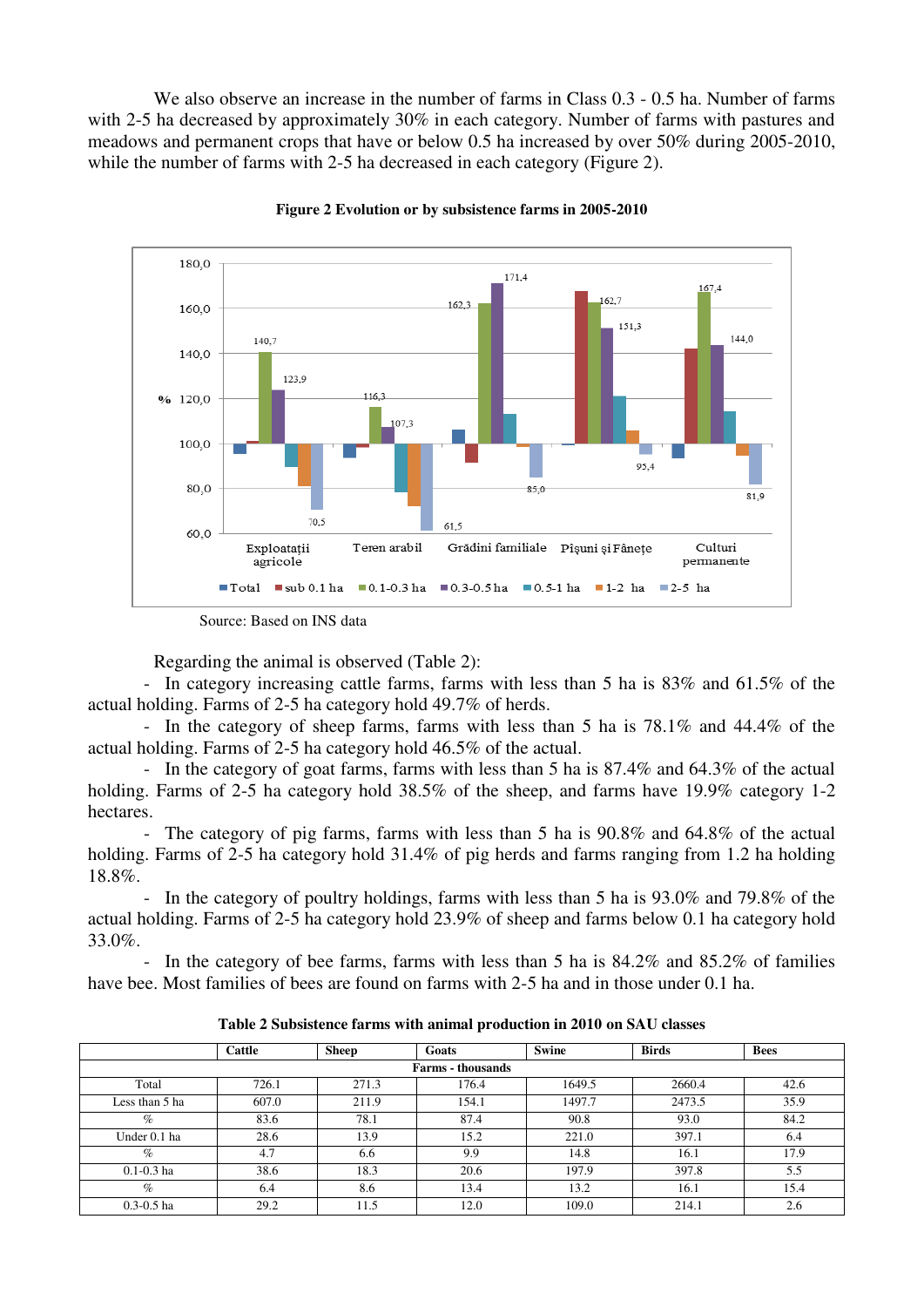We also observe an increase in the number of farms in Class  $0.3 - 0.5$  ha. Number of farms with 2-5 ha decreased by approximately 30% in each category. Number of farms with pastures and meadows and permanent crops that have or below 0.5 ha increased by over 50% during 2005-2010, while the number of farms with 2-5 ha decreased in each category (Figure 2).



**Figure 2 Evolution or by subsistence farms in 2005-2010** 

Regarding the animal is observed (Table 2):

- In category increasing cattle farms, farms with less than 5 ha is 83% and 61.5% of the actual holding. Farms of 2-5 ha category hold 49.7% of herds.

- In the category of sheep farms, farms with less than 5 ha is 78.1% and 44.4% of the actual holding. Farms of 2-5 ha category hold 46.5% of the actual.

- In the category of goat farms, farms with less than 5 ha is 87.4% and 64.3% of the actual holding. Farms of 2-5 ha category hold 38.5% of the sheep, and farms have 19.9% category 1-2 hectares.

- The category of pig farms, farms with less than 5 ha is 90.8% and 64.8% of the actual holding. Farms of 2-5 ha category hold 31.4% of pig herds and farms ranging from 1.2 ha holding 18.8%.

- In the category of poultry holdings, farms with less than 5 ha is 93.0% and 79.8% of the actual holding. Farms of 2-5 ha category hold 23.9% of sheep and farms below 0.1 ha category hold 33.0%.

- In the category of bee farms, farms with less than 5 ha is 84.2% and 85.2% of families have bee. Most families of bees are found on farms with 2-5 ha and in those under 0.1 ha.

|                          | Cattle | <b>Sheep</b> | Goats | <b>Swine</b> | <b>Birds</b> | <b>Bees</b> |  |  |  |  |
|--------------------------|--------|--------------|-------|--------------|--------------|-------------|--|--|--|--|
| <b>Farms - thousands</b> |        |              |       |              |              |             |  |  |  |  |
| Total                    | 726.1  | 271.3        | 176.4 | 1649.5       | 2660.4       | 42.6        |  |  |  |  |
| Less than 5 ha           | 607.0  | 211.9        | 154.1 | 1497.7       | 2473.5       | 35.9        |  |  |  |  |
| $\%$                     | 83.6   | 78.1         | 87.4  | 90.8         | 93.0         | 84.2        |  |  |  |  |
| Under 0.1 ha             | 28.6   | 13.9         | 15.2  | 221.0        | 397.1        | 6.4         |  |  |  |  |
| $\%$                     | 4.7    | 6.6          | 9.9   | 14.8         | 16.1         | 17.9        |  |  |  |  |
| $0.1 - 0.3$ ha           | 38.6   | 18.3         | 20.6  | 197.9        | 397.8        | 5.5         |  |  |  |  |
| $\%$                     | 6.4    | 8.6          | 13.4  | 13.2         | 16.1         | 15.4        |  |  |  |  |
| $0.3 - 0.5$ ha           | 29.2   | 11.5         | 12.0  | 109.0        | 214.1        | 2.6         |  |  |  |  |

**Table 2 Subsistence farms with animal production in 2010 on SAU classes** 

Source: Based on INS data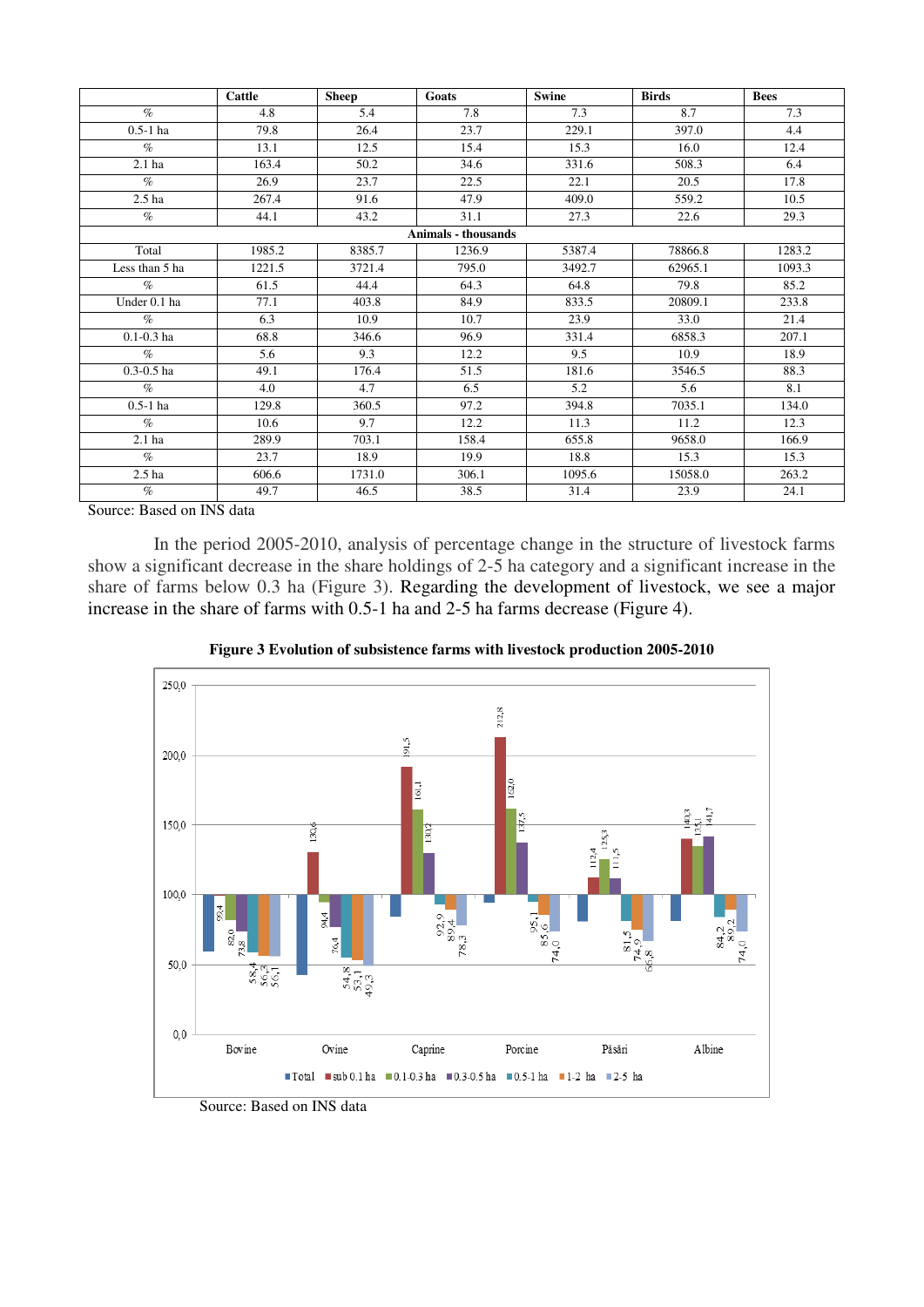|                   | Cattle | <b>Sheep</b> | <b>Goats</b>        | <b>Swine</b> | <b>Birds</b> | <b>Bees</b> |
|-------------------|--------|--------------|---------------------|--------------|--------------|-------------|
| $\%$              | 4.8    | 5.4          | 7.8                 | 7.3          | 8.7          | 7.3         |
| $0.5-1$ ha        | 79.8   | 26.4         | 23.7                | 229.1        | 397.0        | 4.4         |
| $\%$              | 13.1   | 12.5         | 15.4                | 15.3         | 16.0         | 12.4        |
| 2.1 <sub>ha</sub> | 163.4  | 50.2         | 34.6                | 331.6        | 508.3        | 6.4         |
| $\%$              | 26.9   | 23.7         | 22.5                | 22.1         | 20.5         | 17.8        |
| 2.5 <sub>ha</sub> | 267.4  | 91.6         | 47.9                | 409.0        | 559.2        | 10.5        |
| $\%$              | 44.1   | 43.2         | 31.1                | 27.3         | 22.6         | 29.3        |
|                   |        |              | Animals - thousands |              |              |             |
| Total             | 1985.2 | 8385.7       | 1236.9              | 5387.4       | 78866.8      | 1283.2      |
| Less than 5 ha    | 1221.5 | 3721.4       | 795.0               | 3492.7       | 62965.1      | 1093.3      |
| $\%$              | 61.5   | 44.4         | 64.3                | 64.8         | 79.8         | 85.2        |
| Under 0.1 ha      | 77.1   | 403.8        | 84.9                | 833.5        | 20809.1      | 233.8       |
| $\%$              | 6.3    | 10.9         | 10.7                | 23.9         | 33.0         | 21.4        |
| $0.1 - 0.3$ ha    | 68.8   | 346.6        | 96.9                | 331.4        | 6858.3       | 207.1       |
| $\mathcal{O}_0$   | 5.6    | 9.3          | 12.2                | 9.5          | 10.9         | 18.9        |
| $0.3 - 0.5$ ha    | 49.1   | 176.4        | 51.5                | 181.6        | 3546.5       | 88.3        |
| $\%$              | 4.0    | 4.7          | 6.5                 | 5.2          | 5.6          | 8.1         |
| $0.5-1$ ha        | 129.8  | 360.5        | 97.2                | 394.8        | 7035.1       | 134.0       |
| $\%$              | 10.6   | 9.7          | 12.2                | 11.3         | 11.2         | 12.3        |
| 2.1 <sub>ha</sub> | 289.9  | 703.1        | 158.4               | 655.8        | 9658.0       | 166.9       |
| $\%$              | 23.7   | 18.9         | 19.9                | 18.8         | 15.3         | 15.3        |
| 2.5 <sub>ha</sub> | 606.6  | 1731.0       | 306.1               | 1095.6       | 15058.0      | 263.2       |
| $\%$              | 49.7   | 46.5         | 38.5                | 31.4         | 23.9         | 24.1        |

In the period 2005-2010, analysis of percentage change in the structure of livestock farms show a significant decrease in the share holdings of 2-5 ha category and a significant increase in the share of farms below 0.3 ha (Figure 3). Regarding the development of livestock, we see a major increase in the share of farms with 0.5-1 ha and 2-5 ha farms decrease (Figure 4).



**Figure 3 Evolution of subsistence farms with livestock production 2005-2010** 

Source: Based on INS data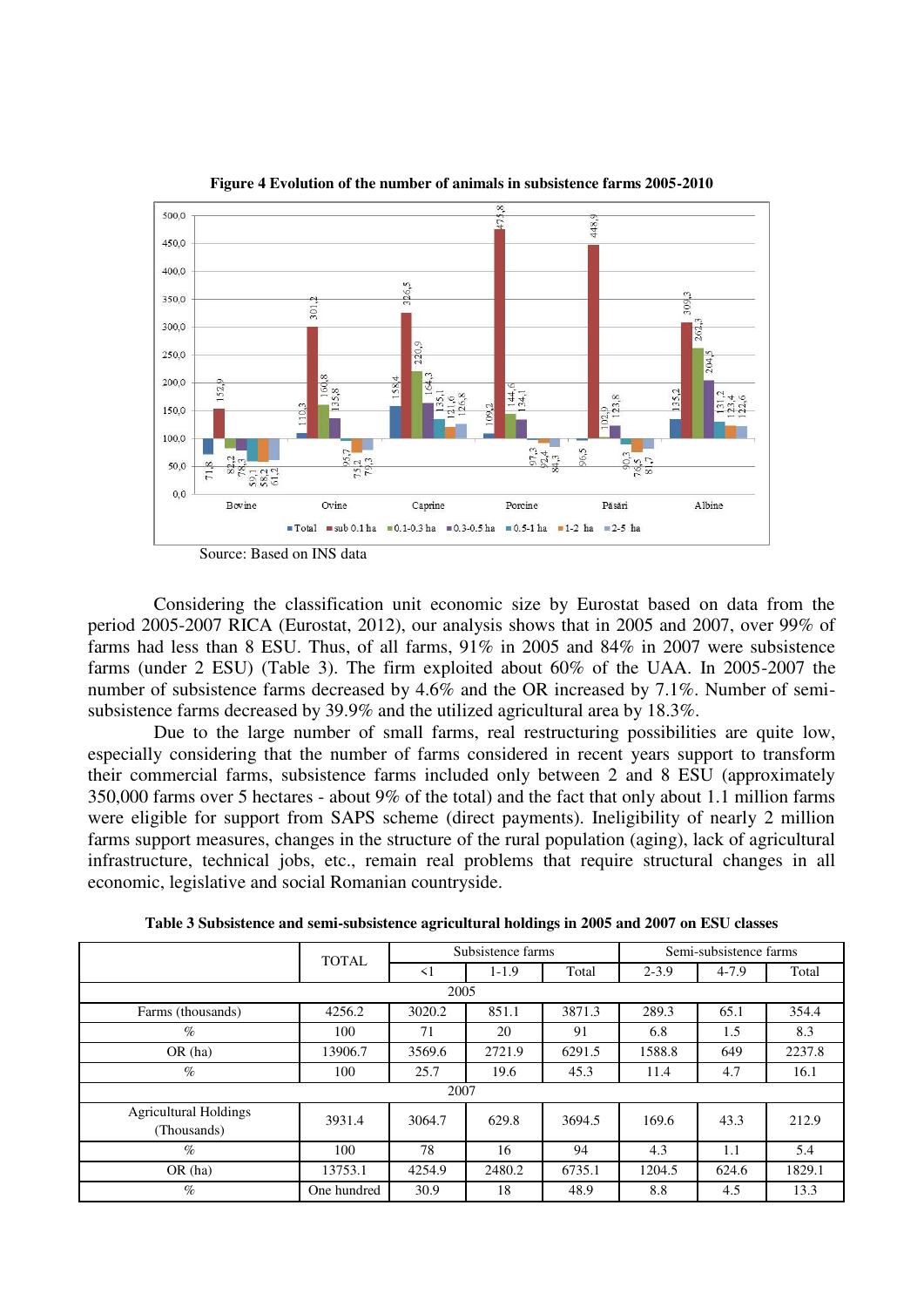

**Figure 4 Evolution of the number of animals in subsistence farms 2005-2010** 

Considering the classification unit economic size by Eurostat based on data from the period 2005-2007 RICA (Eurostat, 2012), our analysis shows that in 2005 and 2007, over 99% of farms had less than 8 ESU. Thus, of all farms, 91% in 2005 and 84% in 2007 were subsistence farms (under 2 ESU) (Table 3). The firm exploited about 60% of the UAA. In 2005-2007 the number of subsistence farms decreased by 4.6% and the OR increased by 7.1%. Number of semisubsistence farms decreased by 39.9% and the utilized agricultural area by 18.3%.

Due to the large number of small farms, real restructuring possibilities are quite low, especially considering that the number of farms considered in recent years support to transform their commercial farms, subsistence farms included only between 2 and 8 ESU (approximately 350,000 farms over 5 hectares - about 9% of the total) and the fact that only about 1.1 million farms were eligible for support from SAPS scheme (direct payments). Ineligibility of nearly 2 million farms support measures, changes in the structure of the rural population (aging), lack of agricultural infrastructure, technical jobs, etc., remain real problems that require structural changes in all economic, legislative and social Romanian countryside.

|                                             |             | Subsistence farms<br><b>TOTAL</b> |         |        | Semi-subsistence farms |           |        |  |  |  |
|---------------------------------------------|-------------|-----------------------------------|---------|--------|------------------------|-----------|--------|--|--|--|
|                                             |             | $\leq$ 1                          | $1-1.9$ | Total  | $2 - 3.9$              | $4 - 7.9$ | Total  |  |  |  |
| 2005                                        |             |                                   |         |        |                        |           |        |  |  |  |
| Farms (thousands)                           | 4256.2      | 3020.2                            | 851.1   | 3871.3 | 289.3                  | 65.1      | 354.4  |  |  |  |
| $\%$                                        | 100         | 71                                | 20      | 91     | 6.8                    | 1.5       | 8.3    |  |  |  |
| OR(ha)                                      | 13906.7     | 3569.6                            | 2721.9  | 6291.5 | 1588.8                 | 649       | 2237.8 |  |  |  |
| $\%$                                        | 100         | 25.7                              | 19.6    | 45.3   | 11.4                   | 4.7       | 16.1   |  |  |  |
| 2007                                        |             |                                   |         |        |                        |           |        |  |  |  |
| <b>Agricultural Holdings</b><br>(Thousands) | 3931.4      | 3064.7                            | 629.8   | 3694.5 | 169.6                  | 43.3      | 212.9  |  |  |  |
| $\%$                                        | 100         | 78                                | 16      | 94     | 4.3                    | 1.1       | 5.4    |  |  |  |
| OR(ha)                                      | 13753.1     | 4254.9                            | 2480.2  | 6735.1 | 1204.5                 | 624.6     | 1829.1 |  |  |  |
| $\%$                                        | One hundred | 30.9                              | 18      | 48.9   | 8.8                    | 4.5       | 13.3   |  |  |  |

**Table 3 Subsistence and semi-subsistence agricultural holdings in 2005 and 2007 on ESU classes**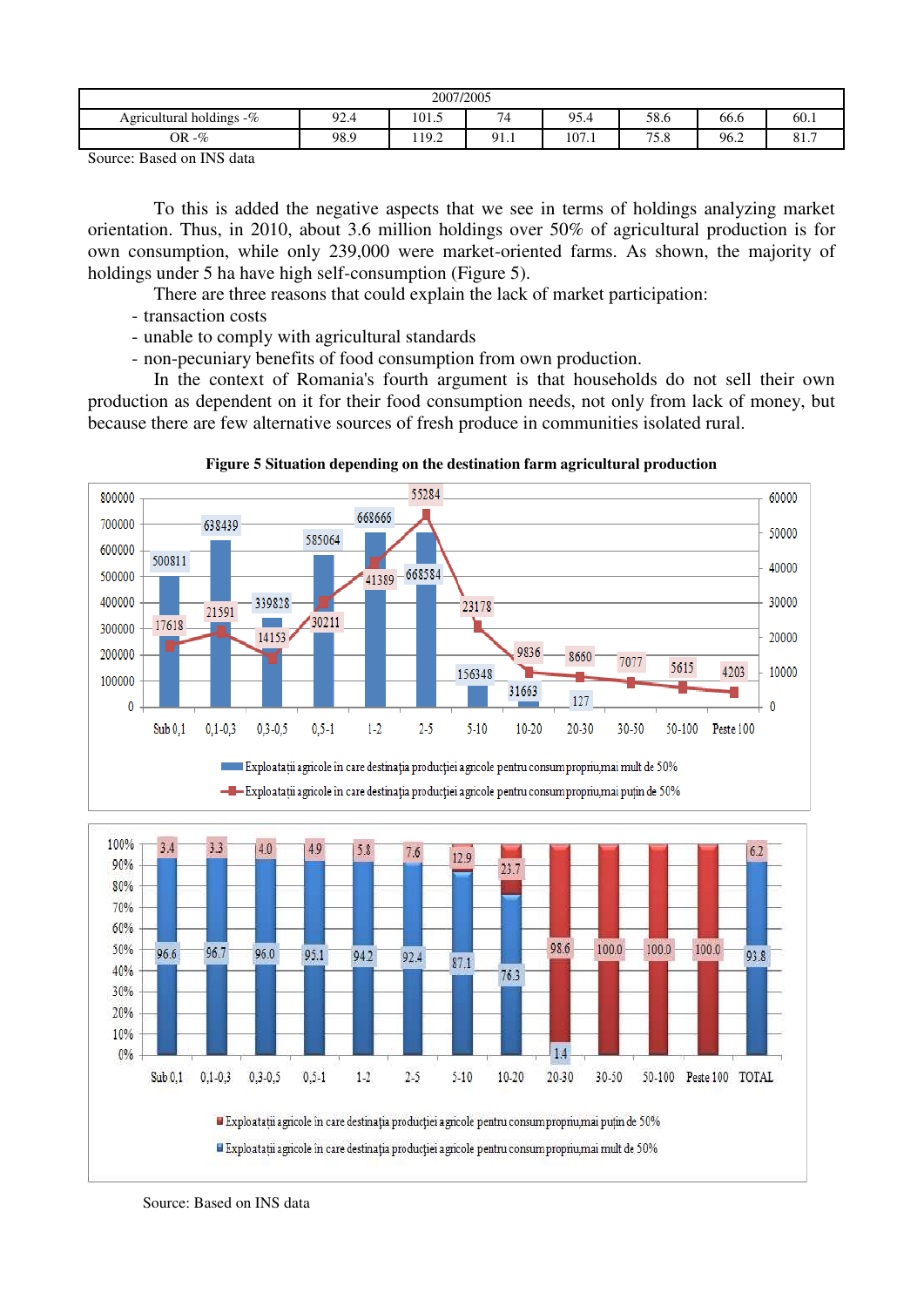| 2007/2005                                                                         |      |      |           |       |             |      |             |  |  |
|-----------------------------------------------------------------------------------|------|------|-----------|-------|-------------|------|-------------|--|--|
| 74<br>95.4<br>58.6<br>,,,<br>92.4<br>101.5<br>Agricultural holdings $-\%$<br>66.6 |      |      |           |       |             |      | 60.1        |  |  |
| $-\%$<br><b>OR</b>                                                                | 98.9 | 19.2 | $91_{.1}$ | 107.1 | 750<br>8. ت | 96.2 | 017<br>01.1 |  |  |

To this is added the negative aspects that we see in terms of holdings analyzing market orientation. Thus, in 2010, about 3.6 million holdings over 50% of agricultural production is for own consumption, while only 239,000 were market-oriented farms. As shown, the majority of holdings under 5 ha have high self-consumption (Figure 5).

There are three reasons that could explain the lack of market participation:

- transaction costs
- unable to comply with agricultural standards
- non-pecuniary benefits of food consumption from own production.

In the context of Romania's fourth argument is that households do not sell their own production as dependent on it for their food consumption needs, not only from lack of money, but because there are few alternative sources of fresh produce in communities isolated rural.





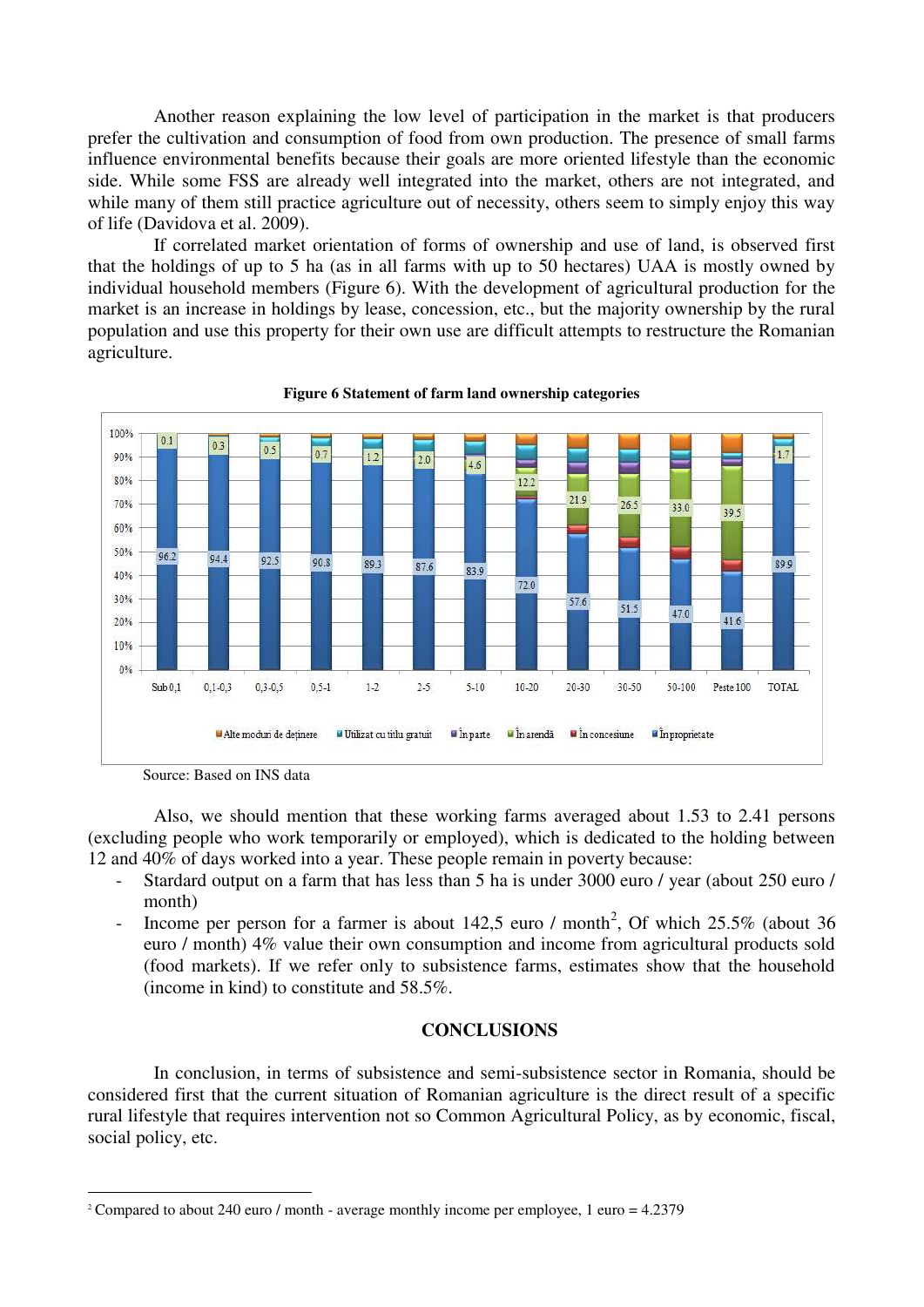Another reason explaining the low level of participation in the market is that producers prefer the cultivation and consumption of food from own production. The presence of small farms influence environmental benefits because their goals are more oriented lifestyle than the economic side. While some FSS are already well integrated into the market, others are not integrated, and while many of them still practice agriculture out of necessity, others seem to simply enjoy this way of life (Davidova et al. 2009).

If correlated market orientation of forms of ownership and use of land, is observed first that the holdings of up to 5 ha (as in all farms with up to 50 hectares) UAA is mostly owned by individual household members (Figure 6). With the development of agricultural production for the market is an increase in holdings by lease, concession, etc., but the majority ownership by the rural population and use this property for their own use are difficult attempts to restructure the Romanian agriculture.



**Figure 6 Statement of farm land ownership categories** 

Also, we should mention that these working farms averaged about 1.53 to 2.41 persons (excluding people who work temporarily or employed), which is dedicated to the holding between 12 and 40% of days worked into a year. These people remain in poverty because:

- Stardard output on a farm that has less than 5 ha is under 3000 euro / year (about 250 euro / month)
- Income per person for a farmer is about 142,5 euro / month<sup>2</sup>, Of which  $25.5\%$  (about 36 euro / month) 4% value their own consumption and income from agricultural products sold (food markets). If we refer only to subsistence farms, estimates show that the household (income in kind) to constitute and 58.5%.

## **CONCLUSIONS**

In conclusion, in terms of subsistence and semi-subsistence sector in Romania, should be considered first that the current situation of Romanian agriculture is the direct result of a specific rural lifestyle that requires intervention not so Common Agricultural Policy, as by economic, fiscal, social policy, etc.

Source: Based on INS data

<sup>-</sup><sup>2</sup> Compared to about 240 euro / month - average monthly income per employee, 1 euro = 4.2379